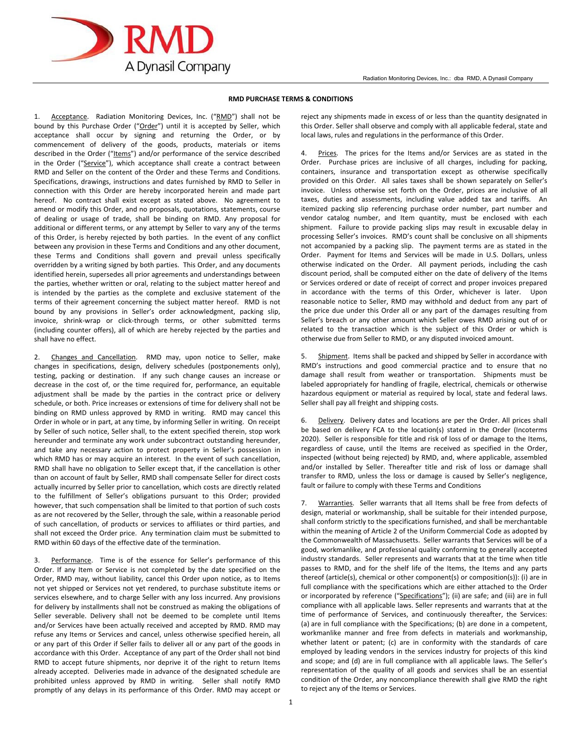

## **RMD PURCHASE TERMS & CONDITIONS**

1. Acceptance. Radiation Monitoring Devices, Inc. ("RMD") shall not be bound by this Purchase Order ("Order") until it is accepted by Seller, which acceptance shall occur by signing and returning the Order, or by commencement of delivery of the goods, products, materials or items described in the Order ("Items") and/or performance of the service described in the Order ("Service"), which acceptance shall create a contract between RMD and Seller on the content of the Order and these Terms and Conditions. Specifications, drawings, instructions and dates furnished by RMD to Seller in connection with this Order are hereby incorporated herein and made part hereof. No contract shall exist except as stated above. No agreement to amend or modify this Order, and no proposals, quotations, statements, course of dealing or usage of trade, shall be binding on RMD. Any proposal for additional or different terms, or any attempt by Seller to vary any of the terms of this Order, is hereby rejected by both parties. In the event of any conflict between any provision in these Terms and Conditions and any other document, these Terms and Conditions shall govern and prevail unless specifically overridden by a writing signed by both parties. This Order, and any documents identified herein, supersedes all prior agreements and understandings between the parties, whether written or oral, relating to the subject matter hereof and is intended by the parties as the complete and exclusive statement of the terms of their agreement concerning the subject matter hereof. RMD is not bound by any provisions in Seller's order acknowledgment, packing slip, invoice, shrink-wrap or click-through terms, or other submitted terms (including counter offers), all of which are hereby rejected by the parties and shall have no effect.

2. Changes and Cancellation. RMD may, upon notice to Seller, make changes in specifications, design, delivery schedules (postponements only), testing, packing or destination. If any such change causes an increase or decrease in the cost of, or the time required for, performance, an equitable adjustment shall be made by the parties in the contract price or delivery schedule, or both. Price increases or extensions of time for delivery shall not be binding on RMD unless approved by RMD in writing. RMD may cancel this Order in whole or in part, at any time, by informing Seller in writing. On receipt by Seller of such notice, Seller shall, to the extent specified therein, stop work hereunder and terminate any work under subcontract outstanding hereunder, and take any necessary action to protect property in Seller's possession in which RMD has or may acquire an interest. In the event of such cancellation, RMD shall have no obligation to Seller except that, if the cancellation is other than on account of fault by Seller, RMD shall compensate Seller for direct costs actually incurred by Seller prior to cancellation, which costs are directly related to the fulfillment of Seller's obligations pursuant to this Order; provided however, that such compensation shall be limited to that portion of such costs as are not recovered by the Seller, through the sale, within a reasonable period of such cancellation, of products or services to affiliates or third parties, and shall not exceed the Order price. Any termination claim must be submitted to RMD within 60 days of the effective date of the termination.

Performance. Time is of the essence for Seller's performance of this Order. If any Item or Service is not completed by the date specified on the Order, RMD may, without liability, cancel this Order upon notice, as to Items not yet shipped or Services not yet rendered, to purchase substitute items or services elsewhere, and to charge Seller with any loss incurred. Any provisions for delivery by installments shall not be construed as making the obligations of Seller severable. Delivery shall not be deemed to be complete until Items and/or Services have been actually received and accepted by RMD. RMD may refuse any Items or Services and cancel, unless otherwise specified herein, all or any part of this Order if Seller fails to deliver all or any part of the goods in accordance with this Order. Acceptance of any part of the Order shall not bind RMD to accept future shipments, nor deprive it of the right to return Items already accepted. Deliveries made in advance of the designated schedule are prohibited unless approved by RMD in writing. Seller shall notify RMD promptly of any delays in its performance of this Order. RMD may accept or reject any shipments made in excess of or less than the quantity designated in this Order. Seller shall observe and comply with all applicable federal, state and local laws, rules and regulations in the performance of this Order.

4. Prices. The prices for the Items and/or Services are as stated in the Order. Purchase prices are inclusive of all charges, including for packing, containers, insurance and transportation except as otherwise specifically provided on this Order. All sales taxes shall be shown separately on Seller's invoice. Unless otherwise set forth on the Order, prices are inclusive of all taxes, duties and assessments, including value added tax and tariffs. An itemized packing slip referencing purchase order number, part number and vendor catalog number, and Item quantity, must be enclosed with each shipment. Failure to provide packing slips may result in excusable delay in processing Seller's invoices. RMD's count shall be conclusive on all shipments not accompanied by a packing slip. The payment terms are as stated in the Order. Payment for Items and Services will be made in U.S. Dollars, unless otherwise indicated on the Order. All payment periods, including the cash discount period, shall be computed either on the date of delivery of the Items or Services ordered or date of receipt of correct and proper invoices prepared in accordance with the terms of this Order, whichever is later. Upon reasonable notice to Seller, RMD may withhold and deduct from any part of the price due under this Order all or any part of the damages resulting from Seller's breach or any other amount which Seller owes RMD arising out of or related to the transaction which is the subject of this Order or which is otherwise due from Seller to RMD, or any disputed invoiced amount.

5. Shipment. Items shall be packed and shipped by Seller in accordance with RMD's instructions and good commercial practice and to ensure that no damage shall result from weather or transportation. Shipments must be labeled appropriately for handling of fragile, electrical, chemicals or otherwise hazardous equipment or material as required by local, state and federal laws. Seller shall pay all freight and shipping costs.

Delivery. Delivery dates and locations are per the Order. All prices shall be based on delivery FCA to the location(s) stated in the Order (Incoterms 2020). Seller is responsible for title and risk of loss of or damage to the Items, regardless of cause, until the Items are received as specified in the Order, inspected (without being rejected) by RMD, and, where applicable, assembled and/or installed by Seller. Thereafter title and risk of loss or damage shall transfer to RMD, unless the loss or damage is caused by Seller's negligence, fault or failure to comply with these Terms and Conditions

7. Warranties. Seller warrants that all Items shall be free from defects of design, material or workmanship, shall be suitable for their intended purpose, shall conform strictly to the specifications furnished, and shall be merchantable within the meaning of Article 2 of the Uniform Commercial Code as adopted by the Commonwealth of Massachusetts. Seller warrants that Services will be of a good, workmanlike, and professional quality conforming to generally accepted industry standards. Seller represents and warrants that at the time when title passes to RMD, and for the shelf life of the Items, the Items and any parts thereof (article(s), chemical or other component(s) or composition(s)): (i) are in full compliance with the specifications which are either attached to the Order or incorporated by reference ("Specifications"); (ii) are safe; and (iii) are in full compliance with all applicable laws. Seller represents and warrants that at the time of performance of Services, and continuously thereafter, the Services: (a) are in full compliance with the Specifications; (b) are done in a competent, workmanlike manner and free from defects in materials and workmanship, whether latent or patent; (c) are in conformity with the standards of care employed by leading vendors in the services industry for projects of this kind and scope; and (d) are in full compliance with all applicable laws. The Seller's representation of the quality of all goods and services shall be an essential condition of the Order, any noncompliance therewith shall give RMD the right to reject any of the Items or Services.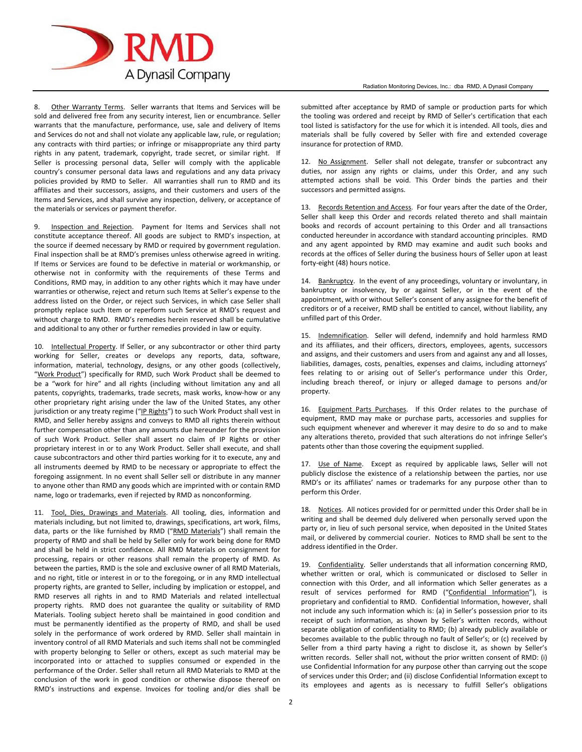

8. Other Warranty Terms. Seller warrants that Items and Services will be sold and delivered free from any security interest, lien or encumbrance. Seller warrants that the manufacture, performance, use, sale and delivery of Items and Services do not and shall not violate any applicable law, rule, or regulation; any contracts with third parties; or infringe or misappropriate any third party rights in any patent, trademark, copyright, trade secret, or similar right. If Seller is processing personal data, Seller will comply with the applicable country's consumer personal data laws and regulations and any data privacy policies provided by RMD to Seller. All warranties shall run to RMD and its affiliates and their successors, assigns, and their customers and users of the Items and Services, and shall survive any inspection, delivery, or acceptance of the materials or services or payment therefor.

9. Inspection and Rejection. Payment for Items and Services shall not constitute acceptance thereof. All goods are subject to RMD's inspection, at the source if deemed necessary by RMD or required by government regulation. Final inspection shall be at RMD's premises unless otherwise agreed in writing. If Items or Services are found to be defective in material or workmanship, or otherwise not in conformity with the requirements of these Terms and Conditions, RMD may, in addition to any other rights which it may have under warranties or otherwise, reject and return such Items at Seller's expense to the address listed on the Order, or reject such Services, in which case Seller shall promptly replace such Item or reperform such Service at RMD's request and without charge to RMD. RMD's remedies herein reserved shall be cumulative and additional to any other or further remedies provided in law or equity.

10. Intellectual Property. If Seller, or any subcontractor or other third party working for Seller, creates or develops any reports, data, software, information, material, technology, designs, or any other goods (collectively, "Work Product") specifically for RMD, such Work Product shall be deemed to be a "work for hire" and all rights (including without limitation any and all patents, copyrights, trademarks, trade secrets, mask works, know-how or any other proprietary right arising under the law of the United States, any other jurisdiction or any treaty regime ("IP Rights") to such Work Product shall vest in RMD, and Seller hereby assigns and conveys to RMD all rights therein without further compensation other than any amounts due hereunder for the provision of such Work Product. Seller shall assert no claim of IP Rights or other proprietary interest in or to any Work Product. Seller shall execute, and shall cause subcontractors and other third parties working for it to execute, any and all instruments deemed by RMD to be necessary or appropriate to effect the foregoing assignment. In no event shall Seller sell or distribute in any manner to anyone other than RMD any goods which are imprinted with or contain RMD name, logo or trademarks, even if rejected by RMD as nonconforming.

11. Tool, Dies, Drawings and Materials. All tooling, dies, information and materials including, but not limited to, drawings, specifications, art work, films, data, parts or the like furnished by RMD ("RMD Materials") shall remain the property of RMD and shall be held by Seller only for work being done for RMD and shall be held in strict confidence. All RMD Materials on consignment for processing, repairs or other reasons shall remain the property of RMD. As between the parties, RMD is the sole and exclusive owner of all RMD Materials, and no right, title or interest in or to the foregoing, or in any RMD intellectual property rights, are granted to Seller, including by implication or estoppel, and RMD reserves all rights in and to RMD Materials and related intellectual property rights. RMD does not guarantee the quality or suitability of RMD Materials. Tooling subject hereto shall be maintained in good condition and must be permanently identified as the property of RMD, and shall be used solely in the performance of work ordered by RMD. Seller shall maintain in inventory control of all RMD Materials and such items shall not be commingled with property belonging to Seller or others, except as such material may be incorporated into or attached to supplies consumed or expended in the performance of the Order. Seller shall return all RMD Materials to RMD at the conclusion of the work in good condition or otherwise dispose thereof on RMD's instructions and expense. Invoices for tooling and/or dies shall be

submitted after acceptance by RMD of sample or production parts for which the tooling was ordered and receipt by RMD of Seller's certification that each tool listed is satisfactory for the use for which it is intended. All tools, dies and materials shall be fully covered by Seller with fire and extended coverage insurance for protection of RMD.

12. No Assignment. Seller shall not delegate, transfer or subcontract any duties, nor assign any rights or claims, under this Order, and any such attempted actions shall be void. This Order binds the parties and their successors and permitted assigns.

13. Records Retention and Access. For four years after the date of the Order, Seller shall keep this Order and records related thereto and shall maintain books and records of account pertaining to this Order and all transactions conducted hereunder in accordance with standard accounting principles. RMD and any agent appointed by RMD may examine and audit such books and records at the offices of Seller during the business hours of Seller upon at least forty-eight (48) hours notice.

14. Bankruptcy. In the event of any proceedings, voluntary or involuntary, in bankruptcy or insolvency, by or against Seller, or in the event of the appointment, with or without Seller's consent of any assignee for the benefit of creditors or of a receiver, RMD shall be entitled to cancel, without liability, any unfilled part of this Order.

15. Indemnification. Seller will defend, indemnify and hold harmless RMD and its affiliates, and their officers, directors, employees, agents, successors and assigns, and their customers and users from and against any and all losses, liabilities, damages, costs, penalties, expenses and claims, including attorneys' fees relating to or arising out of Seller's performance under this Order, including breach thereof, or injury or alleged damage to persons and/or property.

16. Equipment Parts Purchases. If this Order relates to the purchase of equipment, RMD may make or purchase parts, accessories and supplies for such equipment whenever and wherever it may desire to do so and to make any alterations thereto, provided that such alterations do not infringe Seller's patents other than those covering the equipment supplied.

17. Use of Name. Except as required by applicable laws, Seller will not publicly disclose the existence of a relationship between the parties, nor use RMD's or its affiliates' names or trademarks for any purpose other than to perform this Order.

18. Notices. All notices provided for or permitted under this Order shall be in writing and shall be deemed duly delivered when personally served upon the party or, in lieu of such personal service, when deposited in the United States mail, or delivered by commercial courier. Notices to RMD shall be sent to the address identified in the Order.

19. Confidentiality. Seller understands that all information concerning RMD, whether written or oral, which is communicated or disclosed to Seller in connection with this Order, and all information which Seller generates as a result of services performed for RMD ("Confidential Information"), is proprietary and confidential to RMD. Confidential Information, however, shall not include any such information which is: (a) in Seller's possession prior to its receipt of such information, as shown by Seller's written records, without separate obligation of confidentiality to RMD; (b) already publicly available or becomes available to the public through no fault of Seller's; or (c) received by Seller from a third party having a right to disclose it, as shown by Seller's written records. Seller shall not, without the prior written consent of RMD: (i) use Confidential Information for any purpose other than carrying out the scope of services under this Order; and (ii) disclose Confidential Information except to its employees and agents as is necessary to fulfill Seller's obligations